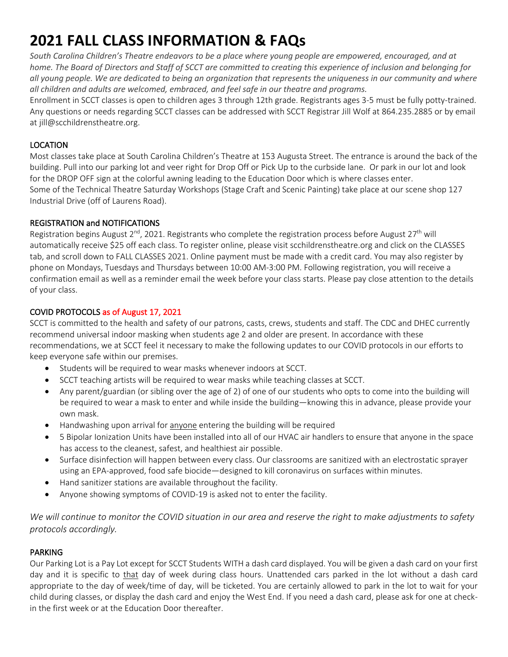# **2021 FALL CLASS INFORMATION & FAQs**

*South Carolina Children's Theatre endeavors to be a place where young people are empowered, encouraged, and at home. The Board of Directors and Staff of SCCT are committed to creating this experience of inclusion and belonging for all young people. We are dedicated to being an organization that represents the uniqueness in our community and where all children and adults are welcomed, embraced, and feel safe in our theatre and programs.*

Enrollment in SCCT classes is open to children ages 3 through 12th grade. Registrants ages 3-5 must be fully potty-trained. Any questions or needs regarding SCCT classes can be addressed with SCCT Registrar Jill Wolf at 864.235.2885 or by email at jill@scchildrenstheatre.org.

## LOCATION

Most classes take place at South Carolina Children's Theatre at 153 Augusta Street. The entrance is around the back of the building. Pull into our parking lot and veer right for Drop Off or Pick Up to the curbside lane. Or park in our lot and look for the DROP OFF sign at the colorful awning leading to the Education Door which is where classes enter. Some of the Technical Theatre Saturday Workshops (Stage Craft and Scenic Painting) take place at our scene shop 127 Industrial Drive (off of Laurens Road).

## REGISTRATION and NOTIFICATIONS

Registration begins August 2<sup>nd</sup>, 2021. Registrants who complete the registration process before August 27<sup>th</sup> will automatically receive \$25 off each class. To register online, please visit scchildrenstheatre.org and click on the CLASSES tab, and scroll down to FALL CLASSES 2021. Online payment must be made with a credit card. You may also register by phone on Mondays, Tuesdays and Thursdays between 10:00 AM-3:00 PM. Following registration, you will receive a confirmation email as well as a reminder email the week before your class starts. Please pay close attention to the details of your class.

## COVID PROTOCOLS as of August 17, 2021

SCCT is committed to the health and safety of our patrons, casts, crews, students and staff. The CDC and DHEC currently recommend universal indoor masking when students age 2 and older are present. In accordance with these recommendations, we at SCCT feel it necessary to make the following updates to our COVID protocols in our efforts to keep everyone safe within our premises.

- Students will be required to wear masks whenever indoors at SCCT.
- SCCT teaching artists will be required to wear masks while teaching classes at SCCT.
- Any parent/guardian (or sibling over the age of 2) of one of our students who opts to come into the building will be required to wear a mask to enter and while inside the building—knowing this in advance, please provide your own mask.
- Handwashing upon arrival for anyone entering the building will be required
- 5 Bipolar Ionization Units have been installed into all of our HVAC air handlers to ensure that anyone in the space has access to the cleanest, safest, and healthiest air possible.
- Surface disinfection will happen between every class. Our classrooms are sanitized with an electrostatic sprayer using an EPA-approved, food safe biocide—designed to kill coronavirus on surfaces within minutes.
- Hand sanitizer stations are available throughout the facility.
- Anyone showing symptoms of COVID-19 is asked not to enter the facility.

*We will continue to monitor the COVID situation in our area and reserve the right to make adjustments to safety protocols accordingly.*

# PARKING

Our Parking Lot is a Pay Lot except for SCCT Students WITH a dash card displayed. You will be given a dash card on your first day and it is specific to that day of week during class hours. Unattended cars parked in the lot without a dash card appropriate to the day of week/time of day, will be ticketed. You are certainly allowed to park in the lot to wait for your child during classes, or display the dash card and enjoy the West End. If you need a dash card, please ask for one at checkin the first week or at the Education Door thereafter.